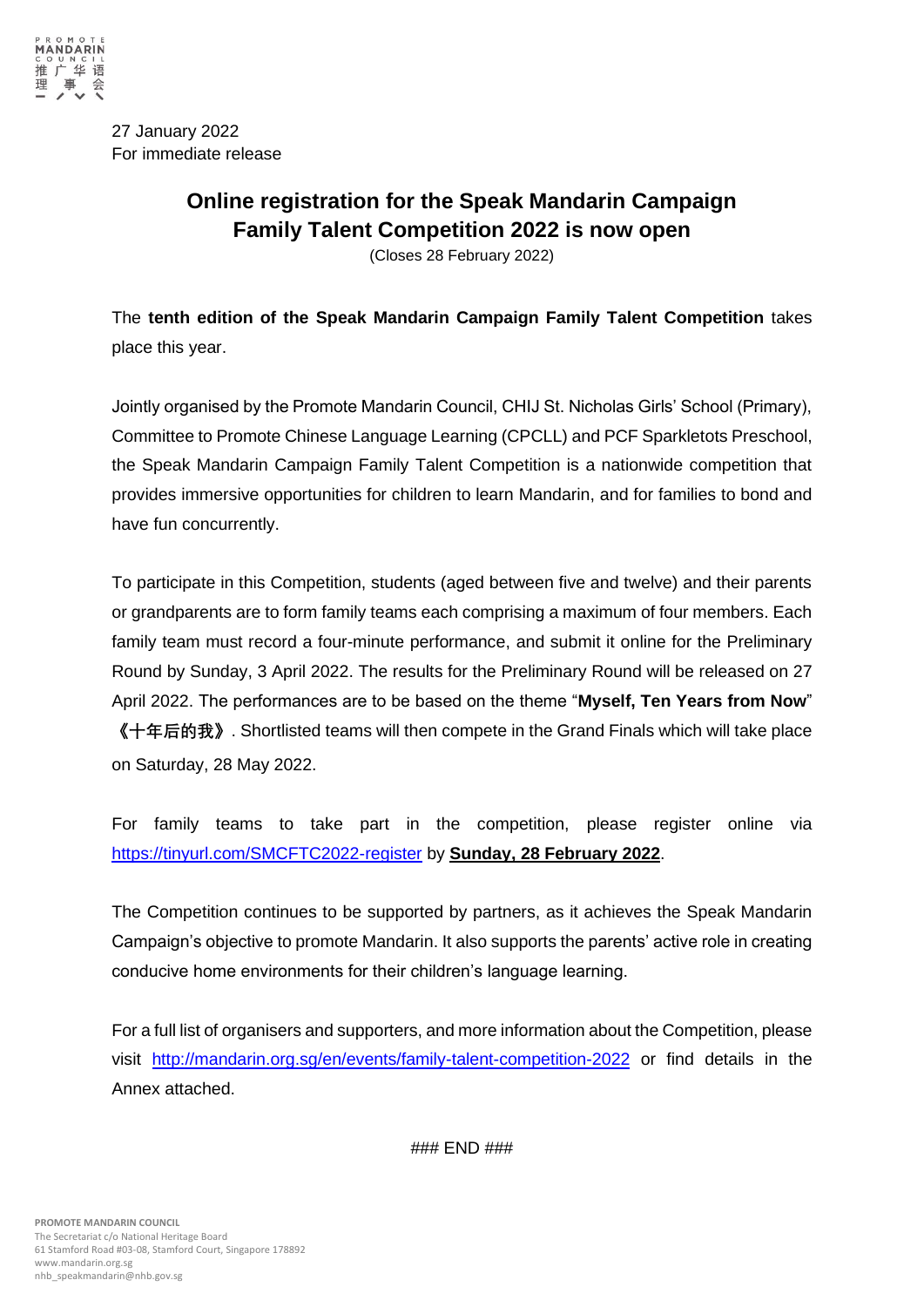

27 January 2022 For immediate release

# **Online registration for the Speak Mandarin Campaign Family Talent Competition 2022 is now open**

(Closes 28 February 2022)

The **tenth edition of the Speak Mandarin Campaign Family Talent Competition** takes place this year.

Jointly organised by the Promote Mandarin Council, CHIJ St. Nicholas Girls' School (Primary), Committee to Promote Chinese Language Learning (CPCLL) and PCF Sparkletots Preschool, the Speak Mandarin Campaign Family Talent Competition is a nationwide competition that provides immersive opportunities for children to learn Mandarin, and for families to bond and have fun concurrently.

To participate in this Competition, students (aged between five and twelve) and their parents or grandparents are to form family teams each comprising a maximum of four members. Each family team must record a four-minute performance, and submit it online for the Preliminary Round by Sunday, 3 April 2022. The results for the Preliminary Round will be released on 27 April 2022. The performances are to be based on the theme "**Myself, Ten Years from Now**" **《十年后的我》**. Shortlisted teams will then compete in the Grand Finals which will take place on Saturday, 28 May 2022.

For family teams to take part in the competition, please register online via <https://tinyurl.com/SMCFTC2022-register> by **Sunday, 28 February 2022**.

The Competition continues to be supported by partners, as it achieves the Speak Mandarin Campaign's objective to promote Mandarin. It also supports the parents' active role in creating conducive home environments for their children's language learning.

For a full list of organisers and supporters, and more information about the Competition, please visit <http://mandarin.org.sg/en/events/family-talent-competition-2022> or find details in the Annex attached.

### END ###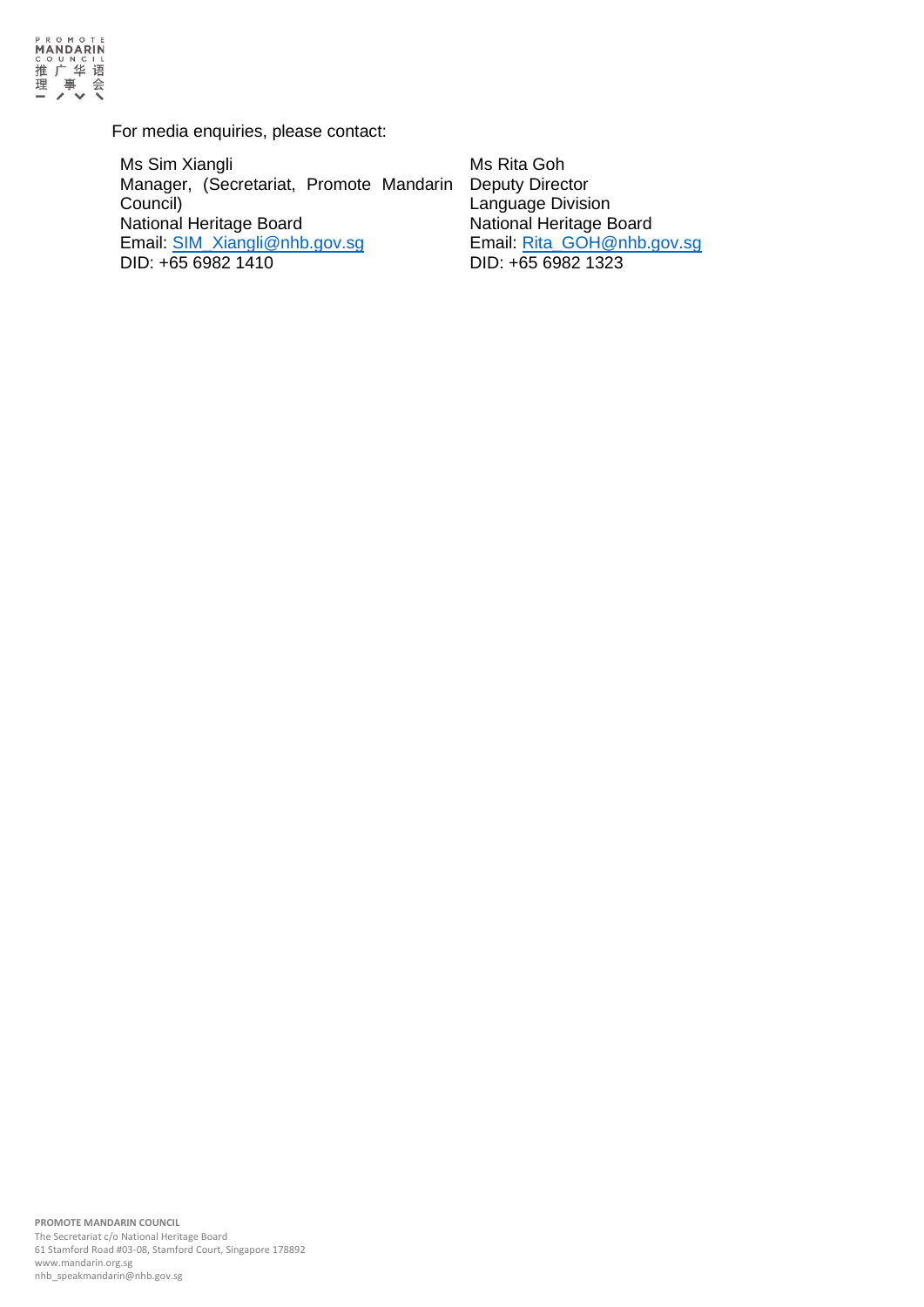

For media enquiries, please contact:

Ms Sim Xiangli Manager, (Secretariat, Promote Mandarin Council) National Heritage Board Email: [SIM\\_Xiangli@nhb.gov.sg](mailto:SIM_Xiangli@nhb.gov.sg) DID: +65 6982 1410

Ms Rita Goh Deputy Director Language Division National Heritage Board Email: [Rita\\_GOH@nhb.gov.sg](mailto:Rita_GOH@nhb.gov.sg) DID: +65 6982 1323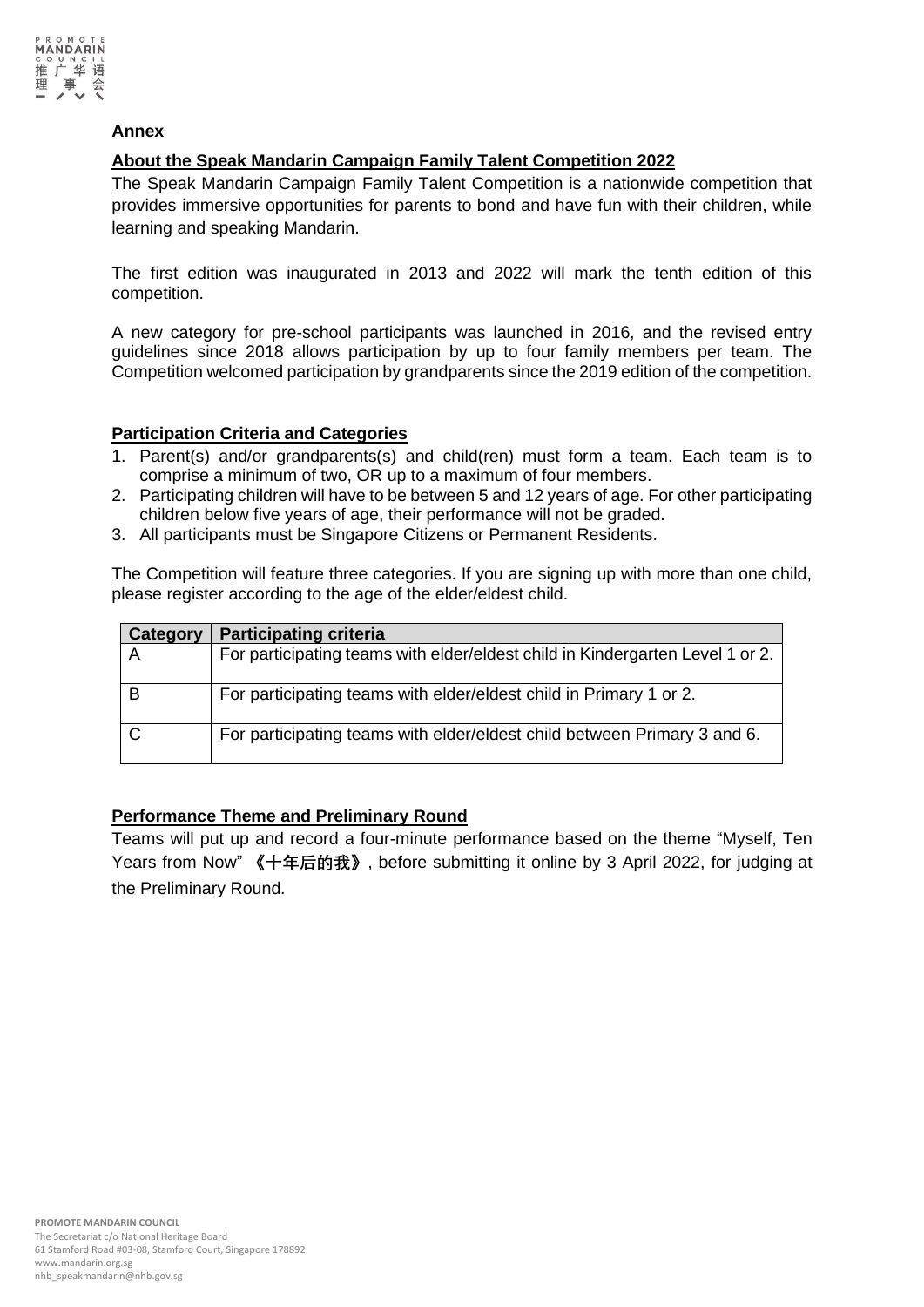

#### **Annex**

### **About the Speak Mandarin Campaign Family Talent Competition 2022**

The Speak Mandarin Campaign Family Talent Competition is a nationwide competition that provides immersive opportunities for parents to bond and have fun with their children, while learning and speaking Mandarin.

The first edition was inaugurated in 2013 and 2022 will mark the tenth edition of this competition.

A new category for pre-school participants was launched in 2016, and the revised entry guidelines since 2018 allows participation by up to four family members per team. The Competition welcomed participation by grandparents since the 2019 edition of the competition.

#### **Participation Criteria and Categories**

- 1. Parent(s) and/or grandparents(s) and child(ren) must form a team. Each team is to comprise a minimum of two, OR up to a maximum of four members.
- 2. Participating children will have to be between 5 and 12 years of age. For other participating children below five years of age, their performance will not be graded.
- 3. All participants must be Singapore Citizens or Permanent Residents.

The Competition will feature three categories. If you are signing up with more than one child, please register according to the age of the elder/eldest child.

| Category | <b>Participating criteria</b>                                                 |
|----------|-------------------------------------------------------------------------------|
|          | For participating teams with elder/eldest child in Kindergarten Level 1 or 2. |
|          | For participating teams with elder/eldest child in Primary 1 or 2.            |
|          | For participating teams with elder/eldest child between Primary 3 and 6.      |

#### **Performance Theme and Preliminary Round**

Teams will put up and record a four-minute performance based on the theme "Myself, Ten Years from Now" **《十年后的我》**, before submitting it online by 3 April 2022, for judging at the Preliminary Round.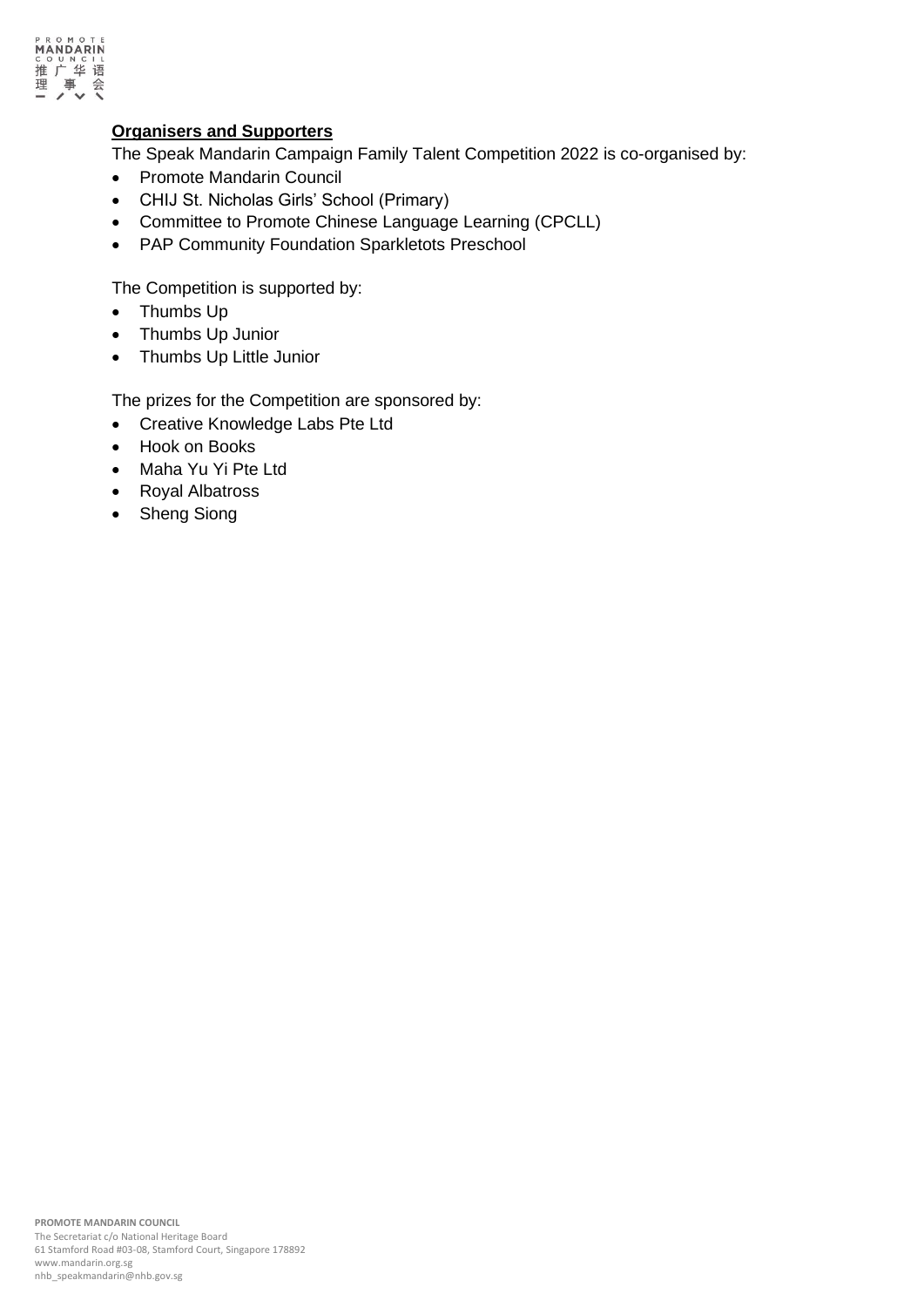

#### **Organisers and Supporters**

The Speak Mandarin Campaign Family Talent Competition 2022 is co-organised by:

- Promote Mandarin Council
- CHIJ St. Nicholas Girls' School (Primary)
- Committee to Promote Chinese Language Learning (CPCLL)
- PAP Community Foundation Sparkletots Preschool

The Competition is supported by:

- Thumbs Up
- Thumbs Up Junior
- Thumbs Up Little Junior

The prizes for the Competition are sponsored by:

- Creative Knowledge Labs Pte Ltd
- Hook on Books
- Maha Yu Yi Pte Ltd
- Royal Albatross
- Sheng Siong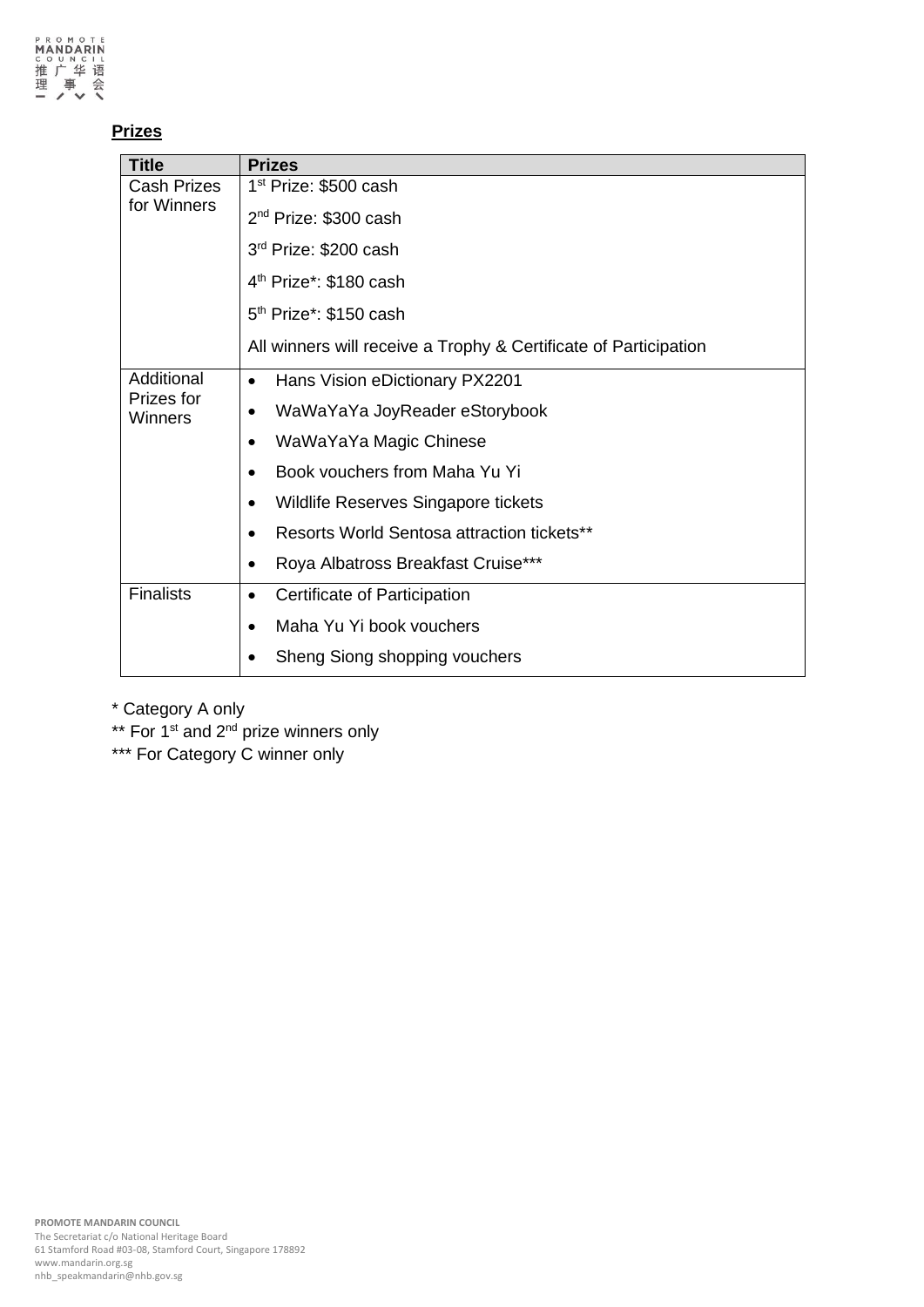# **Prizes**

| <b>Title</b>          | <b>Prizes</b>                                                    |
|-----------------------|------------------------------------------------------------------|
| <b>Cash Prizes</b>    | 1 <sup>st</sup> Prize: \$500 cash                                |
| for Winners           | 2 <sup>nd</sup> Prize: \$300 cash                                |
|                       | 3 <sup>rd</sup> Prize: \$200 cash                                |
|                       | 4 <sup>th</sup> Prize*: \$180 cash                               |
|                       | $5th$ Prize <sup>*</sup> : \$150 cash                            |
|                       | All winners will receive a Trophy & Certificate of Participation |
| Additional            | Hans Vision eDictionary PX2201<br>$\bullet$                      |
| Prizes for<br>Winners | WaWaYaYa JoyReader eStorybook<br>$\bullet$                       |
|                       | WaWaYaYa Magic Chinese<br>$\bullet$                              |
|                       | Book vouchers from Maha Yu Yi<br>$\bullet$                       |
|                       | Wildlife Reserves Singapore tickets<br>$\bullet$                 |
|                       | Resorts World Sentosa attraction tickets**<br>$\bullet$          |
|                       | Roya Albatross Breakfast Cruise***<br>$\bullet$                  |
| <b>Finalists</b>      | Certificate of Participation<br>$\bullet$                        |
|                       | Maha Yu Yi book vouchers<br>$\bullet$                            |
|                       | Sheng Siong shopping vouchers                                    |

\* Category A only

\*\* For 1<sup>st</sup> and 2<sup>nd</sup> prize winners only

\*\*\* For Category C winner only